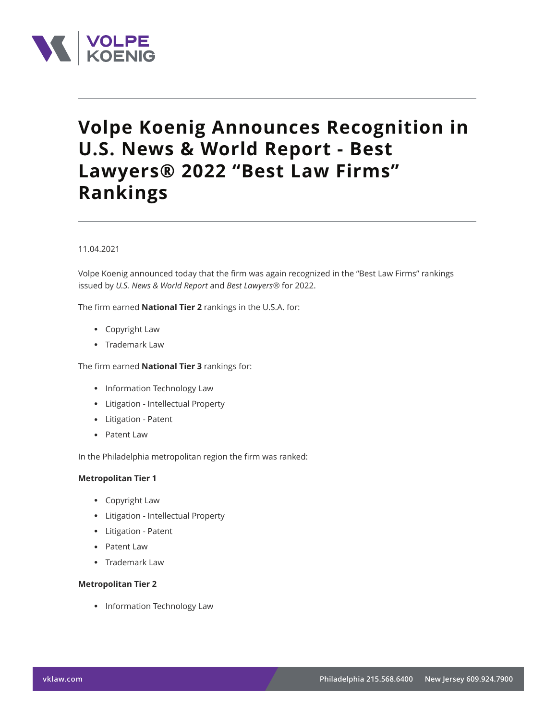

# **Volpe Koenig Announces Recognition in U.S. News & World Report - Best Lawyers® 2022 "Best Law Firms" Rankings**

### 11.04.2021

Volpe Koenig announced today that the firm was again recognized in the "Best Law Firms" rankings issued by *U.S. News & World Report* and *Best Lawyers®* for 2022.

The firm earned **National Tier 2** rankings in the U.S.A. for:

- Copyright Law
- Trademark Law

The firm earned **National Tier 3** rankings for:

- Information Technology Law
- Litigation Intellectual Property
- Litigation Patent
- Patent Law

In the Philadelphia metropolitan region the firm was ranked:

#### **Metropolitan Tier 1**

- Copyright Law
- Litigation Intellectual Property
- Litigation Patent
- Patent Law
- Trademark Law

#### **Metropolitan Tier 2**

● Information Technology Law